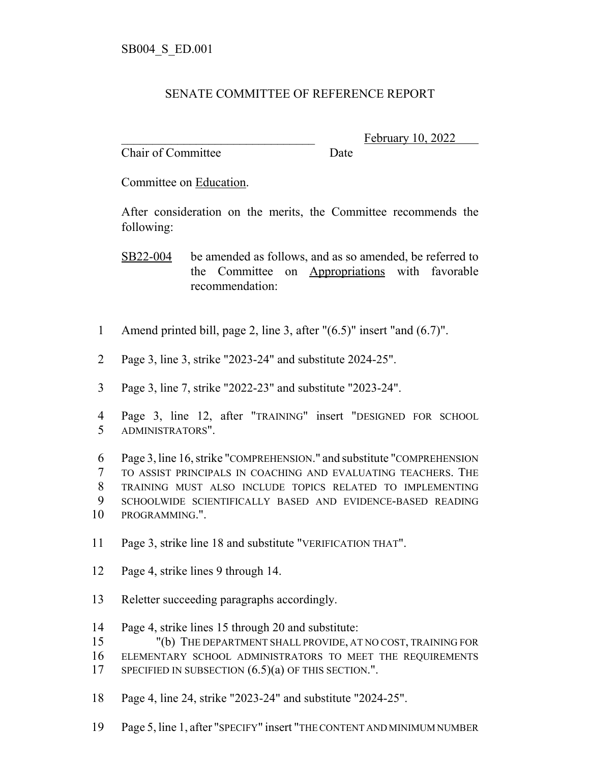## SENATE COMMITTEE OF REFERENCE REPORT

Chair of Committee Date

February 10, 2022

Committee on Education.

After consideration on the merits, the Committee recommends the following:

SB22-004 be amended as follows, and as so amended, be referred to the Committee on Appropriations with favorable recommendation:

- Amend printed bill, page 2, line 3, after "(6.5)" insert "and (6.7)".
- Page 3, line 3, strike "2023-24" and substitute 2024-25".
- Page 3, line 7, strike "2022-23" and substitute "2023-24".
- Page 3, line 12, after "TRAINING" insert "DESIGNED FOR SCHOOL ADMINISTRATORS".

 Page 3, line 16, strike "COMPREHENSION." and substitute "COMPREHENSION TO ASSIST PRINCIPALS IN COACHING AND EVALUATING TEACHERS. THE TRAINING MUST ALSO INCLUDE TOPICS RELATED TO IMPLEMENTING SCHOOLWIDE SCIENTIFICALLY BASED AND EVIDENCE-BASED READING PROGRAMMING.".

- Page 3, strike line 18 and substitute "VERIFICATION THAT".
- Page 4, strike lines 9 through 14.
- Reletter succeeding paragraphs accordingly.
- Page 4, strike lines 15 through 20 and substitute:
- "(b) THE DEPARTMENT SHALL PROVIDE, AT NO COST, TRAINING FOR
- ELEMENTARY SCHOOL ADMINISTRATORS TO MEET THE REQUIREMENTS
- 17 SPECIFIED IN SUBSECTION  $(6.5)(a)$  OF THIS SECTION.".
- Page 4, line 24, strike "2023-24" and substitute "2024-25".
- Page 5, line 1, after "SPECIFY" insert "THE CONTENT AND MINIMUM NUMBER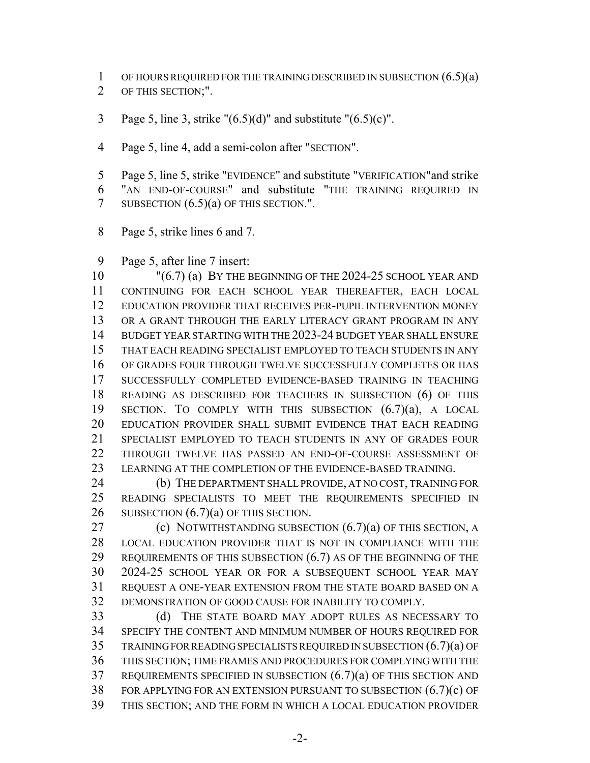1 OF HOURS REQUIRED FOR THE TRAINING DESCRIBED IN SUBSECTION  $(6.5)(a)$ OF THIS SECTION;".

3 Page 5, line 3, strike " $(6.5)(d)$ " and substitute " $(6.5)(c)$ ".

Page 5, line 4, add a semi-colon after "SECTION".

 Page 5, line 5, strike "EVIDENCE" and substitute "VERIFICATION"and strike "AN END-OF-COURSE" and substitute "THE TRAINING REQUIRED IN 7 SUBSECTION  $(6.5)(a)$  OF THIS SECTION.".

Page 5, strike lines 6 and 7.

Page 5, after line 7 insert:

10 "(6.7) (a) BY THE BEGINNING OF THE 2024-25 SCHOOL YEAR AND CONTINUING FOR EACH SCHOOL YEAR THEREAFTER, EACH LOCAL EDUCATION PROVIDER THAT RECEIVES PER-PUPIL INTERVENTION MONEY OR A GRANT THROUGH THE EARLY LITERACY GRANT PROGRAM IN ANY BUDGET YEAR STARTING WITH THE 2023-24 BUDGET YEAR SHALL ENSURE THAT EACH READING SPECIALIST EMPLOYED TO TEACH STUDENTS IN ANY OF GRADES FOUR THROUGH TWELVE SUCCESSFULLY COMPLETES OR HAS SUCCESSFULLY COMPLETED EVIDENCE-BASED TRAINING IN TEACHING READING AS DESCRIBED FOR TEACHERS IN SUBSECTION (6) OF THIS SECTION. TO COMPLY WITH THIS SUBSECTION (6.7)(a), A LOCAL EDUCATION PROVIDER SHALL SUBMIT EVIDENCE THAT EACH READING SPECIALIST EMPLOYED TO TEACH STUDENTS IN ANY OF GRADES FOUR THROUGH TWELVE HAS PASSED AN END-OF-COURSE ASSESSMENT OF 23 LEARNING AT THE COMPLETION OF THE EVIDENCE-BASED TRAINING.

24 (b) THE DEPARTMENT SHALL PROVIDE, AT NO COST, TRAINING FOR READING SPECIALISTS TO MEET THE REQUIREMENTS SPECIFIED IN 26 SUBSECTION  $(6.7)(a)$  OF THIS SECTION.

**(c) NOTWITHSTANDING SUBSECTION (6.7)(a) OF THIS SECTION, A**  LOCAL EDUCATION PROVIDER THAT IS NOT IN COMPLIANCE WITH THE 29 REQUIREMENTS OF THIS SUBSECTION (6.7) AS OF THE BEGINNING OF THE 2024-25 SCHOOL YEAR OR FOR A SUBSEQUENT SCHOOL YEAR MAY REQUEST A ONE-YEAR EXTENSION FROM THE STATE BOARD BASED ON A DEMONSTRATION OF GOOD CAUSE FOR INABILITY TO COMPLY.

 (d) THE STATE BOARD MAY ADOPT RULES AS NECESSARY TO SPECIFY THE CONTENT AND MINIMUM NUMBER OF HOURS REQUIRED FOR TRAINING FOR READING SPECIALISTS REQUIRED IN SUBSECTION (6.7)(a) OF THIS SECTION; TIME FRAMES AND PROCEDURES FOR COMPLYING WITH THE REQUIREMENTS SPECIFIED IN SUBSECTION (6.7)(a) OF THIS SECTION AND FOR APPLYING FOR AN EXTENSION PURSUANT TO SUBSECTION (6.7)(c) OF THIS SECTION; AND THE FORM IN WHICH A LOCAL EDUCATION PROVIDER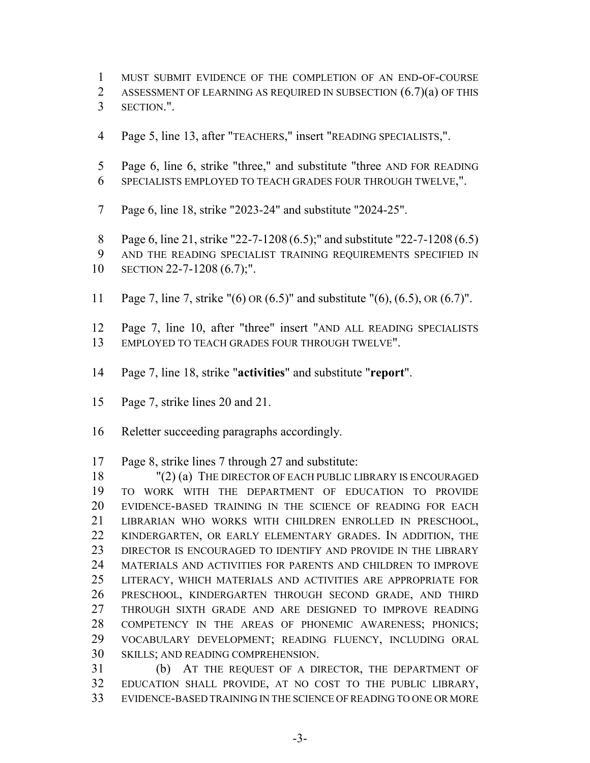- MUST SUBMIT EVIDENCE OF THE COMPLETION OF AN END-OF-COURSE
- ASSESSMENT OF LEARNING AS REQUIRED IN SUBSECTION (6.7)(a) OF THIS
- SECTION.".
- Page 5, line 13, after "TEACHERS," insert "READING SPECIALISTS,".
- Page 6, line 6, strike "three," and substitute "three AND FOR READING SPECIALISTS EMPLOYED TO TEACH GRADES FOUR THROUGH TWELVE,".
- Page 6, line 18, strike "2023-24" and substitute "2024-25".
- Page 6, line 21, strike "22-7-1208 (6.5);" and substitute "22-7-1208 (6.5)
- AND THE READING SPECIALIST TRAINING REQUIREMENTS SPECIFIED IN

- Page 7, line 7, strike "(6) OR (6.5)" and substitute "(6), (6.5), OR (6.7)".
- Page 7, line 10, after "three" insert "AND ALL READING SPECIALISTS EMPLOYED TO TEACH GRADES FOUR THROUGH TWELVE".
- Page 7, line 18, strike "**activities**" and substitute "**report**".
- Page 7, strike lines 20 and 21.
- Reletter succeeding paragraphs accordingly.

Page 8, strike lines 7 through 27 and substitute:

18 "(2) (a) THE DIRECTOR OF EACH PUBLIC LIBRARY IS ENCOURAGED TO WORK WITH THE DEPARTMENT OF EDUCATION TO PROVIDE EVIDENCE-BASED TRAINING IN THE SCIENCE OF READING FOR EACH LIBRARIAN WHO WORKS WITH CHILDREN ENROLLED IN PRESCHOOL, KINDERGARTEN, OR EARLY ELEMENTARY GRADES. IN ADDITION, THE 23 DIRECTOR IS ENCOURAGED TO IDENTIFY AND PROVIDE IN THE LIBRARY MATERIALS AND ACTIVITIES FOR PARENTS AND CHILDREN TO IMPROVE LITERACY, WHICH MATERIALS AND ACTIVITIES ARE APPROPRIATE FOR PRESCHOOL, KINDERGARTEN THROUGH SECOND GRADE, AND THIRD THROUGH SIXTH GRADE AND ARE DESIGNED TO IMPROVE READING COMPETENCY IN THE AREAS OF PHONEMIC AWARENESS; PHONICS; VOCABULARY DEVELOPMENT; READING FLUENCY, INCLUDING ORAL SKILLS; AND READING COMPREHENSION.

 (b) AT THE REQUEST OF A DIRECTOR, THE DEPARTMENT OF EDUCATION SHALL PROVIDE, AT NO COST TO THE PUBLIC LIBRARY, EVIDENCE-BASED TRAINING IN THE SCIENCE OF READING TO ONE OR MORE

SECTION 22-7-1208 (6.7);".